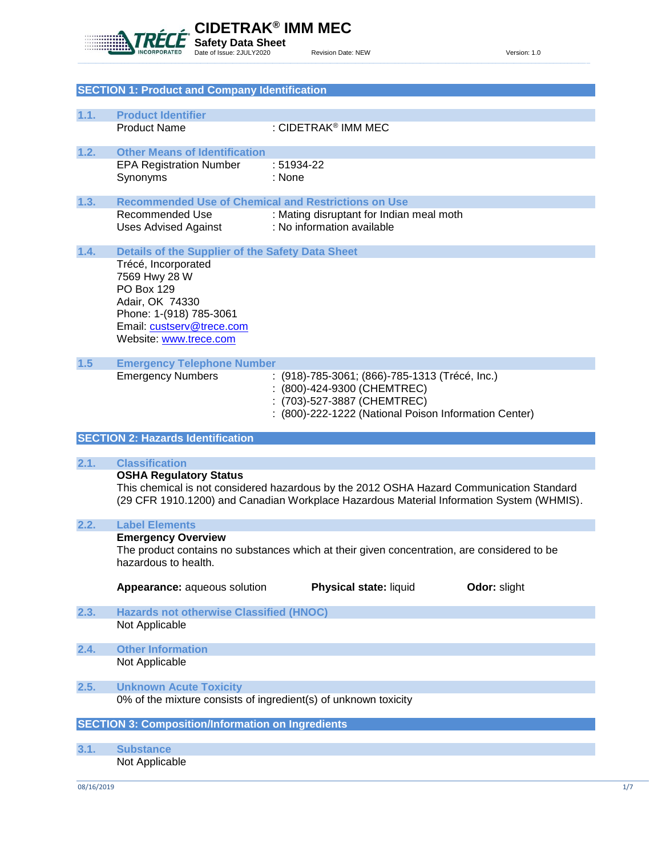

|       | <b>SECTION 1: Product and Company Identification</b>     |                                                                                             |
|-------|----------------------------------------------------------|---------------------------------------------------------------------------------------------|
| 1.1.  | <b>Product Identifier</b>                                |                                                                                             |
|       | <b>Product Name</b>                                      | : CIDETRAK <sup>®</sup> IMM MEC                                                             |
|       |                                                          |                                                                                             |
| 1.2.  | <b>Other Means of Identification</b>                     |                                                                                             |
|       | <b>EPA Registration Number</b>                           | : 51934-22                                                                                  |
|       | Synonyms                                                 | : None                                                                                      |
| 1.3.  |                                                          | <b>Recommended Use of Chemical and Restrictions on Use</b>                                  |
|       | <b>Recommended Use</b>                                   | : Mating disruptant for Indian meal moth                                                    |
|       | <b>Uses Advised Against</b>                              | : No information available                                                                  |
|       |                                                          |                                                                                             |
| 1.4.  | <b>Details of the Supplier of the Safety Data Sheet</b>  |                                                                                             |
|       | Trécé, Incorporated<br>7569 Hwy 28 W                     |                                                                                             |
|       | PO Box 129                                               |                                                                                             |
|       | Adair, OK 74330                                          |                                                                                             |
|       | Phone: 1-(918) 785-3061                                  |                                                                                             |
|       | Email: custserv@trece.com                                |                                                                                             |
|       | Website: www.trece.com                                   |                                                                                             |
| $1.5$ | <b>Emergency Telephone Number</b>                        |                                                                                             |
|       | <b>Emergency Numbers</b>                                 | : (918)-785-3061; (866)-785-1313 (Trécé, Inc.)                                              |
|       |                                                          | : (800)-424-9300 (CHEMTREC)                                                                 |
|       |                                                          | : (703)-527-3887 (CHEMTREC)                                                                 |
|       |                                                          | : (800)-222-1222 (National Poison Information Center)                                       |
|       | <b>SECTION 2: Hazards Identification</b>                 |                                                                                             |
|       |                                                          |                                                                                             |
|       |                                                          |                                                                                             |
| 2.1.  | <b>Classification</b>                                    |                                                                                             |
|       | <b>OSHA Regulatory Status</b>                            |                                                                                             |
|       |                                                          | This chemical is not considered hazardous by the 2012 OSHA Hazard Communication Standard    |
|       |                                                          | (29 CFR 1910.1200) and Canadian Workplace Hazardous Material Information System (WHMIS).    |
| 2.2.  | <b>Label Elements</b>                                    |                                                                                             |
|       | <b>Emergency Overview</b>                                |                                                                                             |
|       |                                                          | The product contains no substances which at their given concentration, are considered to be |
|       | hazardous to health.                                     |                                                                                             |
|       | Appearance: aqueous solution                             | Physical state: liquid<br>Odor: slight                                                      |
|       |                                                          |                                                                                             |
| 2.3.  | <b>Hazards not otherwise Classified (HNOC)</b>           |                                                                                             |
|       | Not Applicable                                           |                                                                                             |
| 2.4.  | <b>Other Information</b>                                 |                                                                                             |
|       | Not Applicable                                           |                                                                                             |
|       |                                                          |                                                                                             |
| 2.5.  | <b>Unknown Acute Toxicity</b>                            |                                                                                             |
|       |                                                          | 0% of the mixture consists of ingredient(s) of unknown toxicity                             |
|       | <b>SECTION 3: Composition/Information on Ingredients</b> |                                                                                             |
|       |                                                          |                                                                                             |
| 3.1.  | <b>Substance</b><br>Not Applicable                       |                                                                                             |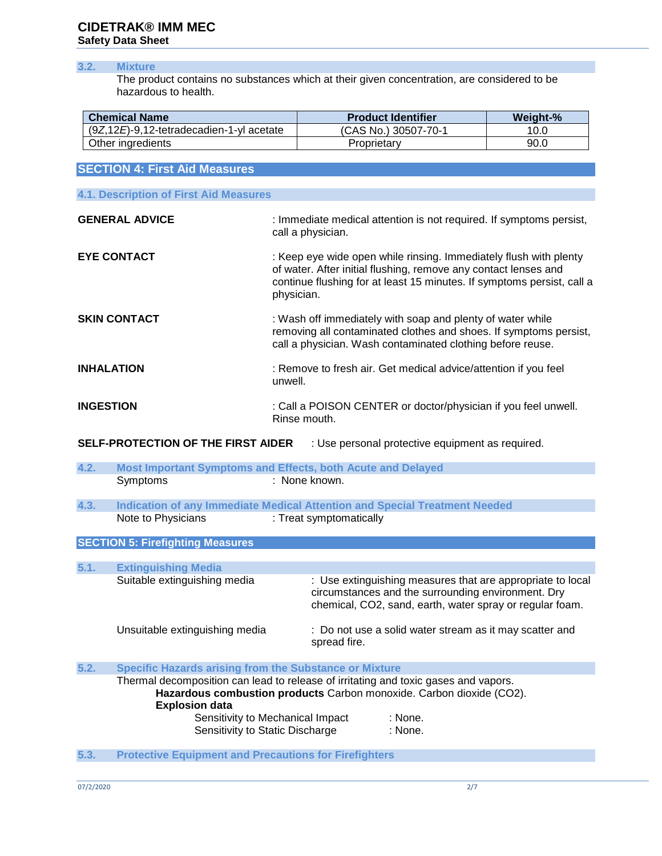# **CIDETRAK® IMM MEC Safety Data Sheet**

# **3.2. Mixture**

The product contains no substances which at their given concentration, are considered to be hazardous to health.

| <b>Chemical Name</b>                         | <b>Product Identifier</b> | Weight-% |
|----------------------------------------------|---------------------------|----------|
| $(9Z, 12E)$ -9,12-tetradecadien-1-yl acetate | (CAS No.) 30507-70-1      | 10.0     |
| Other ingredients                            | Proprietarv               | 90.0     |

| <b>SECTION 4: First Aid Measures</b>   |                                                                                                                                                                                                                              |  |  |
|----------------------------------------|------------------------------------------------------------------------------------------------------------------------------------------------------------------------------------------------------------------------------|--|--|
|                                        |                                                                                                                                                                                                                              |  |  |
| 4.1. Description of First Aid Measures |                                                                                                                                                                                                                              |  |  |
| <b>GENERAL ADVICE</b>                  | : Immediate medical attention is not required. If symptoms persist,<br>call a physician.                                                                                                                                     |  |  |
| <b>EYE CONTACT</b>                     | : Keep eye wide open while rinsing. Immediately flush with plenty<br>of water. After initial flushing, remove any contact lenses and<br>continue flushing for at least 15 minutes. If symptoms persist, call a<br>physician. |  |  |
| <b>SKIN CONTACT</b>                    | : Wash off immediately with soap and plenty of water while<br>removing all contaminated clothes and shoes. If symptoms persist,<br>call a physician. Wash contaminated clothing before reuse.                                |  |  |
| <b>INHALATION</b>                      | : Remove to fresh air. Get medical advice/attention if you feel<br>unwell.                                                                                                                                                   |  |  |
| <b>INGESTION</b>                       | : Call a POISON CENTER or doctor/physician if you feel unwell.<br>Rinse mouth.                                                                                                                                               |  |  |

**SELF-PROTECTION OF THE FIRST AIDER** : Use personal protective equipment as required.

| 4.2. | Most Important Symptoms and Effects, both Acute and Delayed                                  |                                                                                                                                                                                   |  |
|------|----------------------------------------------------------------------------------------------|-----------------------------------------------------------------------------------------------------------------------------------------------------------------------------------|--|
|      | Symptoms                                                                                     | : None known.                                                                                                                                                                     |  |
| 4.3. |                                                                                              | Indication of any Immediate Medical Attention and Special Treatment Needed                                                                                                        |  |
|      | Note to Physicians                                                                           | : Treat symptomatically                                                                                                                                                           |  |
|      | <b>SECTION 5: Firefighting Measures</b>                                                      |                                                                                                                                                                                   |  |
| 5.1. | <b>Extinguishing Media</b>                                                                   |                                                                                                                                                                                   |  |
|      | Suitable extinguishing media                                                                 | : Use extinguishing measures that are appropriate to local<br>circumstances and the surrounding environment. Dry<br>chemical, CO2, sand, earth, water spray or regular foam.      |  |
|      | Unsuitable extinguishing media                                                               | : Do not use a solid water stream as it may scatter and<br>spread fire.                                                                                                           |  |
| 5.2. | <b>Specific Hazards arising from the Substance or Mixture</b>                                |                                                                                                                                                                                   |  |
|      | <b>Explosion data</b><br>Sensitivity to Mechanical Impact<br>Sensitivity to Static Discharge | Thermal decomposition can lead to release of irritating and toxic gases and vapors.<br>Hazardous combustion products Carbon monoxide. Carbon dioxide (CO2).<br>: None.<br>: None. |  |
| 5.3. | <b>Protective Equipment and Precautions for Firefighters</b>                                 |                                                                                                                                                                                   |  |

07/2/2020 2/7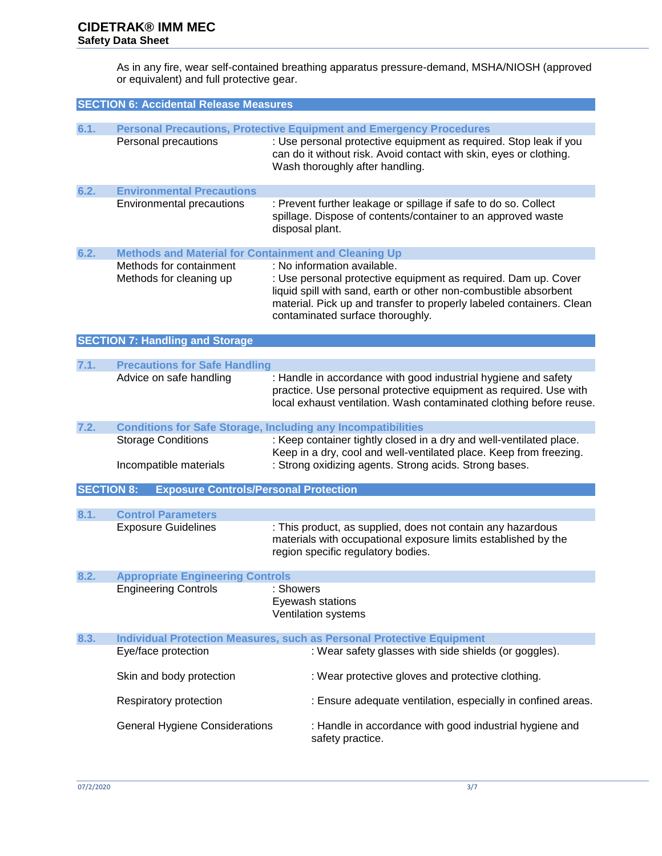As in any fire, wear self-contained breathing apparatus pressure-demand, MSHA/NIOSH (approved or equivalent) and full protective gear.

| <b>SECTION 6: Accidental Release Measures</b> |                                                                   |                                                                                                                                                                                                                                                                               |  |  |  |
|-----------------------------------------------|-------------------------------------------------------------------|-------------------------------------------------------------------------------------------------------------------------------------------------------------------------------------------------------------------------------------------------------------------------------|--|--|--|
|                                               |                                                                   |                                                                                                                                                                                                                                                                               |  |  |  |
| 6.1.                                          | Personal precautions                                              | <b>Personal Precautions, Protective Equipment and Emergency Procedures</b><br>: Use personal protective equipment as required. Stop leak if you<br>can do it without risk. Avoid contact with skin, eyes or clothing.<br>Wash thoroughly after handling.                      |  |  |  |
| 6.2.                                          | <b>Environmental Precautions</b>                                  |                                                                                                                                                                                                                                                                               |  |  |  |
|                                               | <b>Environmental precautions</b>                                  | : Prevent further leakage or spillage if safe to do so. Collect<br>spillage. Dispose of contents/container to an approved waste<br>disposal plant.                                                                                                                            |  |  |  |
| 6.2.                                          | <b>Methods and Material for Containment and Cleaning Up</b>       |                                                                                                                                                                                                                                                                               |  |  |  |
|                                               | Methods for containment<br>Methods for cleaning up                | : No information available.<br>: Use personal protective equipment as required. Dam up. Cover<br>liquid spill with sand, earth or other non-combustible absorbent<br>material. Pick up and transfer to properly labeled containers. Clean<br>contaminated surface thoroughly. |  |  |  |
|                                               | <b>SECTION 7: Handling and Storage</b>                            |                                                                                                                                                                                                                                                                               |  |  |  |
|                                               |                                                                   |                                                                                                                                                                                                                                                                               |  |  |  |
| 7.1.                                          | <b>Precautions for Safe Handling</b>                              |                                                                                                                                                                                                                                                                               |  |  |  |
|                                               | Advice on safe handling                                           | : Handle in accordance with good industrial hygiene and safety<br>practice. Use personal protective equipment as required. Use with<br>local exhaust ventilation. Wash contaminated clothing before reuse.                                                                    |  |  |  |
| 7.2.                                          |                                                                   | <b>Conditions for Safe Storage, Including any Incompatibilities</b>                                                                                                                                                                                                           |  |  |  |
|                                               | <b>Storage Conditions</b><br>Incompatible materials               | : Keep container tightly closed in a dry and well-ventilated place.<br>Keep in a dry, cool and well-ventilated place. Keep from freezing.<br>: Strong oxidizing agents. Strong acids. Strong bases.                                                                           |  |  |  |
|                                               | <b>SECTION 8:</b><br><b>Exposure Controls/Personal Protection</b> |                                                                                                                                                                                                                                                                               |  |  |  |
|                                               |                                                                   |                                                                                                                                                                                                                                                                               |  |  |  |
| 8.1.                                          | <b>Control Parameters</b>                                         |                                                                                                                                                                                                                                                                               |  |  |  |
|                                               | <b>Exposure Guidelines</b>                                        | : This product, as supplied, does not contain any hazardous<br>materials with occupational exposure limits established by the<br>region specific regulatory bodies.                                                                                                           |  |  |  |
| 8.2.                                          | <b>Appropriate Engineering Controls</b>                           |                                                                                                                                                                                                                                                                               |  |  |  |
|                                               | <b>Engineering Controls</b>                                       | : Showers<br>Eyewash stations<br>Ventilation systems                                                                                                                                                                                                                          |  |  |  |
| 8.3.                                          |                                                                   | <b>Individual Protection Measures, such as Personal Protective Equipment</b>                                                                                                                                                                                                  |  |  |  |
|                                               | Eye/face protection                                               | : Wear safety glasses with side shields (or goggles).                                                                                                                                                                                                                         |  |  |  |
|                                               | Skin and body protection                                          | : Wear protective gloves and protective clothing.                                                                                                                                                                                                                             |  |  |  |
|                                               | Respiratory protection                                            | : Ensure adequate ventilation, especially in confined areas.                                                                                                                                                                                                                  |  |  |  |
|                                               | <b>General Hygiene Considerations</b>                             | : Handle in accordance with good industrial hygiene and<br>safety practice.                                                                                                                                                                                                   |  |  |  |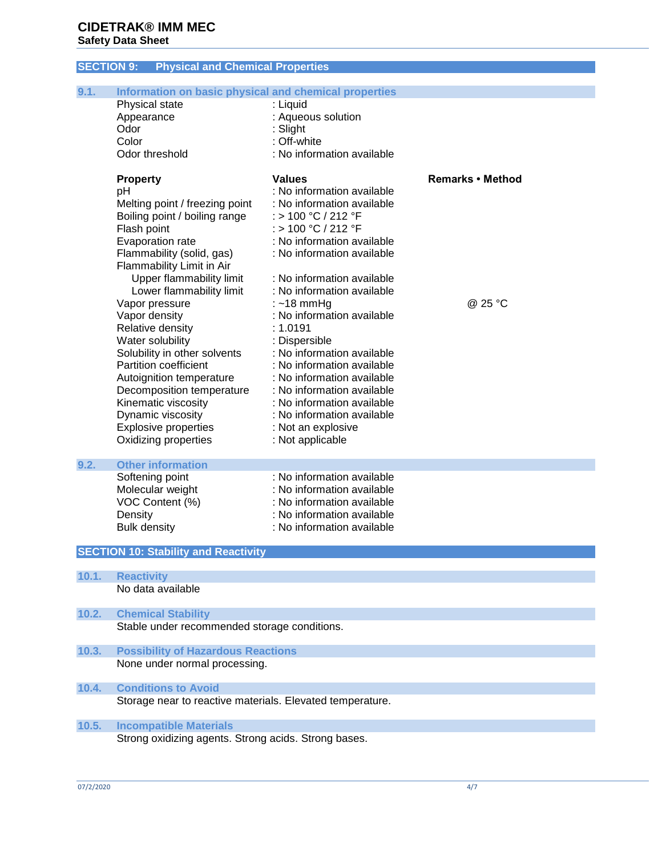# **SECTION 9: Physical and Chemical Properties**

| 9.1.  | Information on basic physical and chemical properties     |                                                          |                         |
|-------|-----------------------------------------------------------|----------------------------------------------------------|-------------------------|
|       | Physical state                                            | : Liquid                                                 |                         |
|       | Appearance                                                | : Aqueous solution                                       |                         |
|       | Odor                                                      | : Slight                                                 |                         |
|       | Color                                                     | : Off-white                                              |                         |
|       | Odor threshold                                            | : No information available                               |                         |
|       | <b>Property</b>                                           | <b>Values</b>                                            | <b>Remarks • Method</b> |
|       | рH                                                        | : No information available                               |                         |
|       | Melting point / freezing point                            | : No information available                               |                         |
|       | Boiling point / boiling range                             | : > 100 °C / 212 °F                                      |                         |
|       | Flash point                                               | : > 100 °C / 212 °F                                      |                         |
|       | Evaporation rate                                          | : No information available                               |                         |
|       | Flammability (solid, gas)                                 | : No information available                               |                         |
|       | Flammability Limit in Air                                 |                                                          |                         |
|       | Upper flammability limit<br>Lower flammability limit      | : No information available<br>: No information available |                         |
|       |                                                           |                                                          | @ 25 °C                 |
|       | Vapor pressure<br>Vapor density                           | $:$ ~18 mmHg<br>: No information available               |                         |
|       | Relative density                                          | : 1.0191                                                 |                         |
|       | Water solubility                                          | : Dispersible                                            |                         |
|       | Solubility in other solvents                              | : No information available                               |                         |
|       | Partition coefficient                                     | : No information available                               |                         |
|       | Autoignition temperature                                  | : No information available                               |                         |
|       | Decomposition temperature                                 | : No information available                               |                         |
|       | Kinematic viscosity                                       | : No information available                               |                         |
|       | Dynamic viscosity                                         | : No information available                               |                         |
|       | <b>Explosive properties</b>                               | : Not an explosive                                       |                         |
|       | Oxidizing properties                                      | : Not applicable                                         |                         |
| 9.2.  | <b>Other information</b>                                  |                                                          |                         |
|       | Softening point                                           | : No information available                               |                         |
|       | Molecular weight                                          | : No information available                               |                         |
|       | VOC Content (%)                                           | : No information available                               |                         |
|       | Density                                                   | : No information available                               |                         |
|       | <b>Bulk density</b>                                       | : No information available                               |                         |
|       |                                                           |                                                          |                         |
|       | <b>SECTION 10: Stability and Reactivity</b>               |                                                          |                         |
| 10.1. | <b>Reactivity</b>                                         |                                                          |                         |
|       | No data available                                         |                                                          |                         |
| 10.2. | <b>Chemical Stability</b>                                 |                                                          |                         |
|       | Stable under recommended storage conditions.              |                                                          |                         |
|       |                                                           |                                                          |                         |
| 10.3. | <b>Possibility of Hazardous Reactions</b>                 |                                                          |                         |
|       | None under normal processing.                             |                                                          |                         |
| 10.4. | <b>Conditions to Avoid</b>                                |                                                          |                         |
|       | Storage near to reactive materials. Elevated temperature. |                                                          |                         |
| 10.5. | <b>Incompatible Materials</b>                             |                                                          |                         |
|       | Strong oxidizing agents. Strong acids. Strong bases.      |                                                          |                         |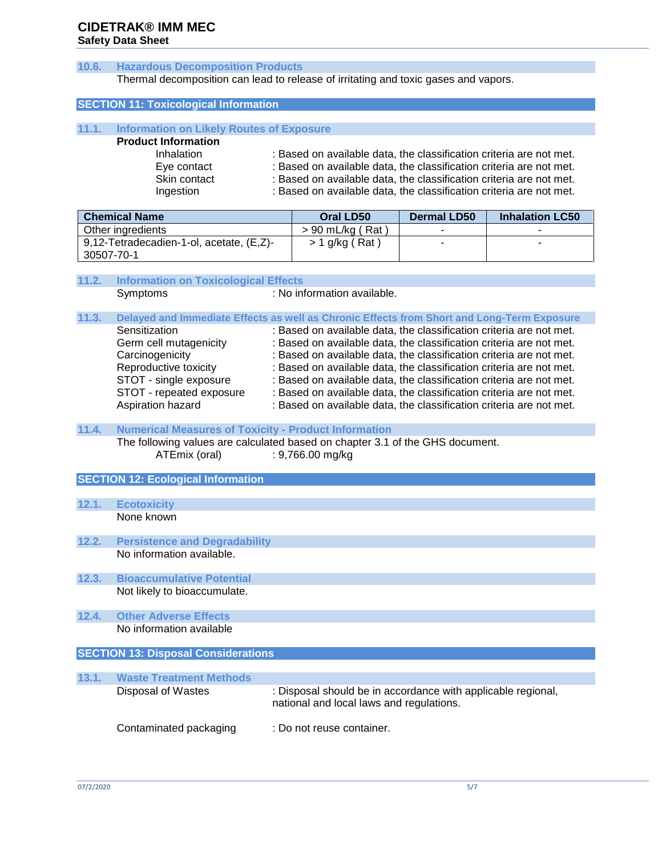# **CIDETRAK® IMM MEC Safety Data Sheet**

# **10.6. Hazardous Decomposition Products** Thermal decomposition can lead to release of irritating and toxic gases and vapors. **SECTION 11: Toxicological Information 11.1. Information on Likely Routes of Exposure Product Information** Inhalation : Based on available data, the classification criteria are not met. Eye contact : Based on available data, the classification criteria are not met. Skin contact : Based on available data, the classification criteria are not met. Ingestion : Based on available data, the classification criteria are not met. **Chemical Name Oral LD50 Dermal LD50 Inhalation LC50** Other ingredients  $\vert > 90 \text{ mL/kg ( Rat )} \vert$  -9,12-Tetradecadien-1-ol, acetate, (E,Z)- 30507-70-1  $> 1$  g/kg ( Rat )  $\qquad \qquad$  -  $\qquad \qquad$  -**11.2. Information on Toxicological Effects**  Symptoms : No information available. **11.3. Delayed and Immediate Effects as well as Chronic Effects from Short and Long-Term Exposure** Sensitization : Based on available data, the classification criteria are not met. Germ cell mutagenicity : Based on available data, the classification criteria are not met. Carcinogenicity : Based on available data, the classification criteria are not met. Reproductive toxicity : Based on available data, the classification criteria are not met. STOT - single exposure : Based on available data, the classification criteria are not met. STOT - repeated exposure : Based on available data, the classification criteria are not met. Aspiration hazard : Based on available data, the classification criteria are not met. **11.4. Numerical Measures of Toxicity - Product Information** The following values are calculated based on chapter 3.1 of the GHS document. ATEmix (oral) : 9,766.00 mg/kg **SECTION 12: Ecological Information 12.1. Ecotoxicity** None known **12.2. Persistence and Degradability** No information available. **12.3. Bioaccumulative Potential** Not likely to bioaccumulate.

- **12.4. Other Adverse Effects**  No information available
- **SECTION 13: Disposal Considerations**

| 13.1. | <b>Waste Treatment Methods</b> |                                                                                                          |
|-------|--------------------------------|----------------------------------------------------------------------------------------------------------|
|       | Disposal of Wastes             | : Disposal should be in accordance with applicable regional,<br>national and local laws and regulations. |
|       | Contaminated packaging         | : Do not reuse container.                                                                                |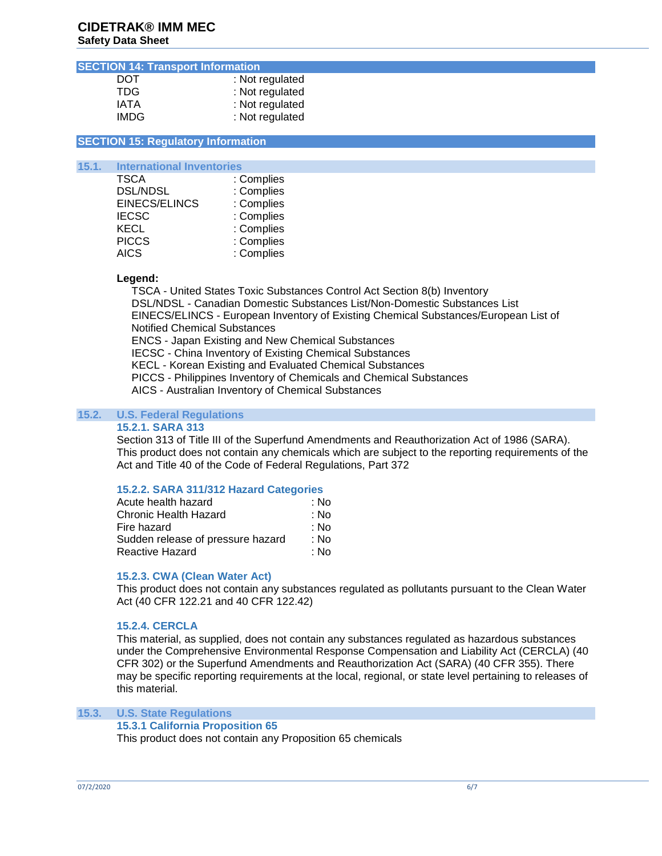#### **SECTION 14: Transport Information**

| DOT   | : Not regulated |
|-------|-----------------|
| TDG.  | : Not regulated |
| IATA  | : Not regulated |
| IMDG. | : Not regulated |

#### **SECTION 15: Regulatory Information**

# **15.1. International Inventories**

| : Complies |
|------------|
| : Complies |
| : Complies |
| : Complies |
| : Complies |
| : Complies |
| : Complies |
|            |

#### **Legend:**

 TSCA - United States Toxic Substances Control Act Section 8(b) Inventory DSL/NDSL - Canadian Domestic Substances List/Non-Domestic Substances List EINECS/ELINCS - European Inventory of Existing Chemical Substances/European List of Notified Chemical Substances ENCS - Japan Existing and New Chemical Substances IECSC - China Inventory of Existing Chemical Substances KECL - Korean Existing and Evaluated Chemical Substances PICCS - Philippines Inventory of Chemicals and Chemical Substances AICS - Australian Inventory of Chemical Substances

#### **15.2. U.S. Federal Regulations**

#### **15.2.1. SARA 313**

Section 313 of Title III of the Superfund Amendments and Reauthorization Act of 1986 (SARA). This product does not contain any chemicals which are subject to the reporting requirements of the Act and Title 40 of the Code of Federal Regulations, Part 372

#### **15.2.2. SARA 311/312 Hazard Categories**

| Acute health hazard               | ∶ No |
|-----------------------------------|------|
| Chronic Health Hazard             | ∶ No |
| Fire hazard                       | : No |
| Sudden release of pressure hazard | ∶ No |
| Reactive Hazard                   | : No |

#### **15.2.3. CWA (Clean Water Act)**

This product does not contain any substances regulated as pollutants pursuant to the Clean Water Act (40 CFR 122.21 and 40 CFR 122.42)

#### **15.2.4. CERCLA**

This material, as supplied, does not contain any substances regulated as hazardous substances under the Comprehensive Environmental Response Compensation and Liability Act (CERCLA) (40 CFR 302) or the Superfund Amendments and Reauthorization Act (SARA) (40 CFR 355). There may be specific reporting requirements at the local, regional, or state level pertaining to releases of this material.

# **15.3. U.S. State Regulations**

## **15.3.1 California Proposition 65**

This product does not contain any Proposition 65 chemicals